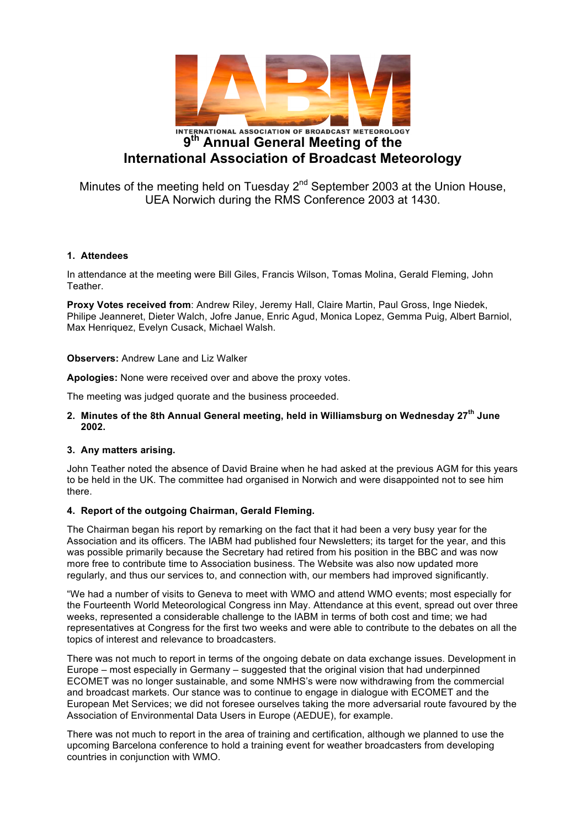

Minutes of the meeting held on Tuesday  $2^{nd}$  September 2003 at the Union House, UEA Norwich during the RMS Conference 2003 at 1430.

#### **1. Attendees**

In attendance at the meeting were Bill Giles, Francis Wilson, Tomas Molina, Gerald Fleming, John Teather.

**Proxy Votes received from**: Andrew Riley, Jeremy Hall, Claire Martin, Paul Gross, Inge Niedek, Philipe Jeanneret, Dieter Walch, Jofre Janue, Enric Agud, Monica Lopez, Gemma Puig, Albert Barniol, Max Henriquez, Evelyn Cusack, Michael Walsh.

#### **Observers:** Andrew Lane and Liz Walker

**Apologies:** None were received over and above the proxy votes.

The meeting was judged quorate and the business proceeded.

### **2. Minutes of the 8th Annual General meeting, held in Williamsburg on Wednesday 27th June 2002.**

# **3. Any matters arising.**

John Teather noted the absence of David Braine when he had asked at the previous AGM for this years to be held in the UK. The committee had organised in Norwich and were disappointed not to see him there.

# **4. Report of the outgoing Chairman, Gerald Fleming.**

The Chairman began his report by remarking on the fact that it had been a very busy year for the Association and its officers. The IABM had published four Newsletters; its target for the year, and this was possible primarily because the Secretary had retired from his position in the BBC and was now more free to contribute time to Association business. The Website was also now updated more regularly, and thus our services to, and connection with, our members had improved significantly.

"We had a number of visits to Geneva to meet with WMO and attend WMO events; most especially for the Fourteenth World Meteorological Congress inn May. Attendance at this event, spread out over three weeks, represented a considerable challenge to the IABM in terms of both cost and time; we had representatives at Congress for the first two weeks and were able to contribute to the debates on all the topics of interest and relevance to broadcasters.

There was not much to report in terms of the ongoing debate on data exchange issues. Development in Europe – most especially in Germany – suggested that the original vision that had underpinned ECOMET was no longer sustainable, and some NMHS's were now withdrawing from the commercial and broadcast markets. Our stance was to continue to engage in dialogue with ECOMET and the European Met Services; we did not foresee ourselves taking the more adversarial route favoured by the Association of Environmental Data Users in Europe (AEDUE), for example.

There was not much to report in the area of training and certification, although we planned to use the upcoming Barcelona conference to hold a training event for weather broadcasters from developing countries in conjunction with WMO.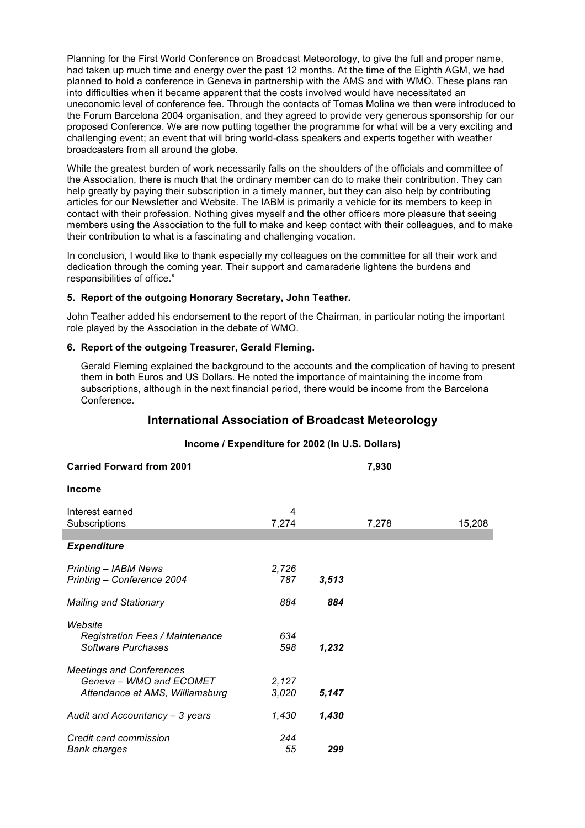Planning for the First World Conference on Broadcast Meteorology, to give the full and proper name, had taken up much time and energy over the past 12 months. At the time of the Eighth AGM, we had planned to hold a conference in Geneva in partnership with the AMS and with WMO. These plans ran into difficulties when it became apparent that the costs involved would have necessitated an uneconomic level of conference fee. Through the contacts of Tomas Molina we then were introduced to the Forum Barcelona 2004 organisation, and they agreed to provide very generous sponsorship for our proposed Conference. We are now putting together the programme for what will be a very exciting and challenging event; an event that will bring world-class speakers and experts together with weather broadcasters from all around the globe.

While the greatest burden of work necessarily falls on the shoulders of the officials and committee of the Association, there is much that the ordinary member can do to make their contribution. They can help greatly by paying their subscription in a timely manner, but they can also help by contributing articles for our Newsletter and Website. The IABM is primarily a vehicle for its members to keep in contact with their profession. Nothing gives myself and the other officers more pleasure that seeing members using the Association to the full to make and keep contact with their colleagues, and to make their contribution to what is a fascinating and challenging vocation.

In conclusion, I would like to thank especially my colleagues on the committee for all their work and dedication through the coming year. Their support and camaraderie lightens the burdens and responsibilities of office."

#### **5. Report of the outgoing Honorary Secretary, John Teather.**

John Teather added his endorsement to the report of the Chairman, in particular noting the important role played by the Association in the debate of WMO.

#### **6. Report of the outgoing Treasurer, Gerald Fleming.**

*Bank charges 55 299*

Gerald Fleming explained the background to the accounts and the complication of having to present them in both Euros and US Dollars. He noted the importance of maintaining the income from subscriptions, although in the next financial period, there would be income from the Barcelona Conference.

# **International Association of Broadcast Meteorology**

# **Income / Expenditure for 2002 (In U.S. Dollars) Carried Forward from 2001 7,930 Income** Interest earned 4<br>Subscriptions 7.274 Subscriptions 7,274 7,278 15,208 *Expenditure Printing – IABM News 2,726 Printing – Conference 2004 787 3,513 Mailing and Stationary 884 884 Website Registration Fees / Maintenance 634 Software Purchases 598 1,232 Meetings and Conferences Geneva – WMO and ECOMET 2,127 Attendance at AMS, Williamsburg 3,020 5,147 Audit and Accountancy – 3 years 1,430 1,430 Credit card commission 244*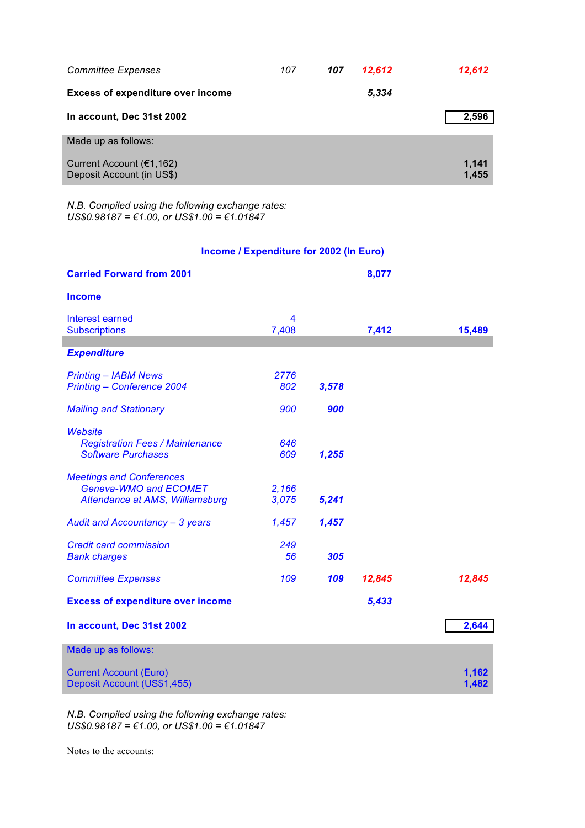| <b>Committee Expenses</b>                             | 107 | 107 | 12,612 | 12,612         |
|-------------------------------------------------------|-----|-----|--------|----------------|
| <b>Excess of expenditure over income</b>              |     |     | 5,334  |                |
| In account, Dec 31st 2002                             |     |     |        | 2,596          |
| Made up as follows:                                   |     |     |        |                |
| Current Account (€1,162)<br>Deposit Account (in US\$) |     |     |        | 1,141<br>1,455 |

*N.B. Compiled using the following exchange rates: US\$0.98187 = €1.00, or US\$1.00 = €1.01847*

# **Income / Expenditure for 2002 (In Euro)**

| <b>Carried Forward from 2001</b>         |       |       | 8,077  |        |
|------------------------------------------|-------|-------|--------|--------|
| <b>Income</b>                            |       |       |        |        |
| Interest earned                          | 4     |       |        |        |
| <b>Subscriptions</b>                     | 7,408 |       | 7,412  | 15,489 |
| <b>Expenditure</b>                       |       |       |        |        |
| <b>Printing - IABM News</b>              | 2776  |       |        |        |
| Printing - Conference 2004               | 802   | 3,578 |        |        |
| <b>Mailing and Stationary</b>            | 900   | 900   |        |        |
| <b>Website</b>                           |       |       |        |        |
| <b>Registration Fees / Maintenance</b>   | 646   |       |        |        |
| <b>Software Purchases</b>                | 609   | 1,255 |        |        |
| <b>Meetings and Conferences</b>          |       |       |        |        |
| Geneva-WMO and ECOMET                    | 2,166 |       |        |        |
| Attendance at AMS, Williamsburg          | 3,075 | 5,241 |        |        |
|                                          |       |       |        |        |
| Audit and Accountancy - 3 years          | 1,457 | 1,457 |        |        |
| <b>Credit card commission</b>            | 249   |       |        |        |
| <b>Bank charges</b>                      | 56    | 305   |        |        |
| <b>Committee Expenses</b>                | 109   | 109   | 12,845 | 12,845 |
|                                          |       |       |        |        |
| <b>Excess of expenditure over income</b> |       |       | 5,433  |        |
| In account, Dec 31st 2002                |       |       |        | 2,644  |
| Made up as follows:                      |       |       |        |        |
| <b>Current Account (Euro)</b>            |       |       |        | 1,162  |
| Deposit Account (US\$1,455)              |       |       |        | 1,482  |

*N.B. Compiled using the following exchange rates: US\$0.98187 = €1.00, or US\$1.00 = €1.01847*

Notes to the accounts: